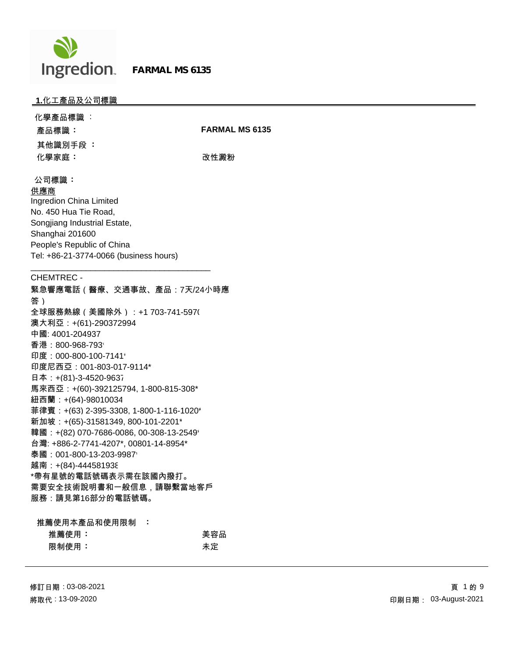

### **1.**化工產品及公司標識

| 化學產品標識 :                |                       |
|-------------------------|-----------------------|
| 產品標識:                   | <b>FARMAL MS 6135</b> |
| 其他識別手段 :                |                       |
| 化學家庭:                   | 改性澱粉                  |
|                         |                       |
| 公司標識:                   |                       |
| 供應商                     |                       |
| Ingredion China Limited |                       |

No. 450 Hua Tie Road, Songjiang Industrial Estate, Shanghai 201600 People's Republic of China Tel: +86-21-3774-0066 (business hours)

\_\_\_\_\_\_\_\_\_\_\_\_\_\_\_\_\_\_\_\_\_\_\_\_\_\_\_\_\_\_\_\_\_\_\_\_\_\_\_

### CHEMTREC -

緊急響應電話(醫療、交通事故、產品:7天/24小時應 答) 全球服務熱線(美國除外):+1 703-741-5970 澳大利亞:+(61)-290372994 中國: 4001-204937 香港: 800-968-793\* 印度: 000-800-100-7141\* 印度尼西亞:001-803-017-9114\* 日本:+(81)-3-4520-9637 馬來西亞:+(60)-392125794, 1-800-815-308\* 紐西蘭:+(64)-98010034 菲律賓:+(63) 2-395-3308, 1-800-1-116-1020\* 新加坡:+(65)-31581349, 800-101-2201\* 韓國: +(82) 070-7686-0086, 00-308-13-2549\* 台灣: +886-2-7741-4207\*, 00801-14-8954\* 泰國: 001-800-13-203-9987\* 越南: +(84)-444581938 \*帶有星號的電話號碼表示需在該國內撥打。 需要安全技術說明書和一般信息,請聯繫當地客戶 服務:請見第16部分的電話號碼。

| 推薦使用本產品和使用限制 | a na Bailtean |     |
|--------------|---------------|-----|
| 推薦使用:        |               | 美容品 |
| 限制使用:        |               | 未定  |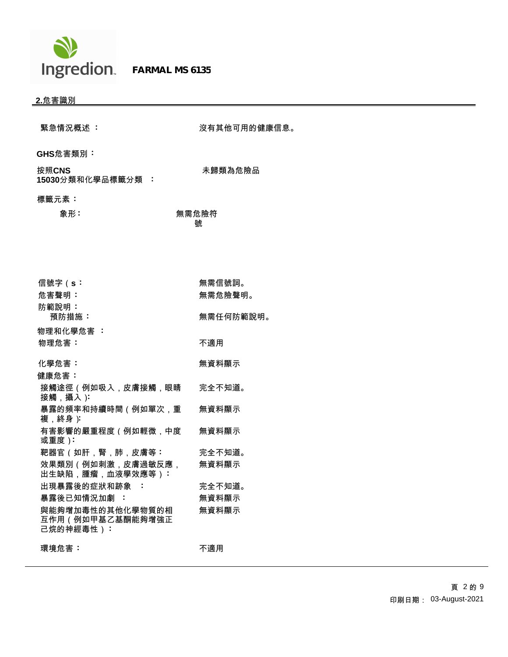

 **FARMAL MS 6135**

# **2.**危害識別

| 緊急情況概述 :                                          | 沒有其他可用的健康信息。 |
|---------------------------------------------------|--------------|
| GHS危害類別:                                          |              |
| 按照CNS<br>15030分類和化學品標籤分類:                         | 未歸類為危險品      |
| 標籤元素:                                             |              |
| 象形:                                               | 無需危險符<br>號   |
|                                                   |              |
|                                                   |              |
| 信號字(s:                                            | 無需信號詞。       |
| 危害聲明:                                             | 無需危險聲明。      |
| 防範說明:<br>預防措施:                                    | 無需任何防範說明。    |
| 物理和化學危害 :                                         |              |
| 物理危害:                                             | 不適用          |
|                                                   |              |
| 化學危害:                                             | 無資料顯示        |
| 健康危害:<br>接觸途徑(例如吸入,皮膚接觸,眼睛                        | 完全不知道。       |
| 接觸,攝入):                                           |              |
| 暴露的頻率和持續時間(例如單次,重<br>複,終身):                       | 無資料顯示        |
| 有害影響的嚴重程度 (例如輕微,中度<br>或重度):                       | 無資料顯示        |
| 靶器官 (如肝,腎,肺,皮膚等:                                  | 完全不知道。       |
| 效果類別(例如刺激,皮膚過敏反應,<br>出生缺陷,腫瘤,血液學效應等):             | 無資料顯示        |
| 出現暴露後的症狀和跡象 :                                     | 完全不知道。       |
| 暴露後已知情況加劇:                                        | 無資料顯示        |
| 與能夠增加毒性的其他化學物質的相<br>互作用(例如甲基乙基酮能夠增強正<br>己烷的神經毒性): | 無資料顯示        |
| 環境危害:                                             | 不適用          |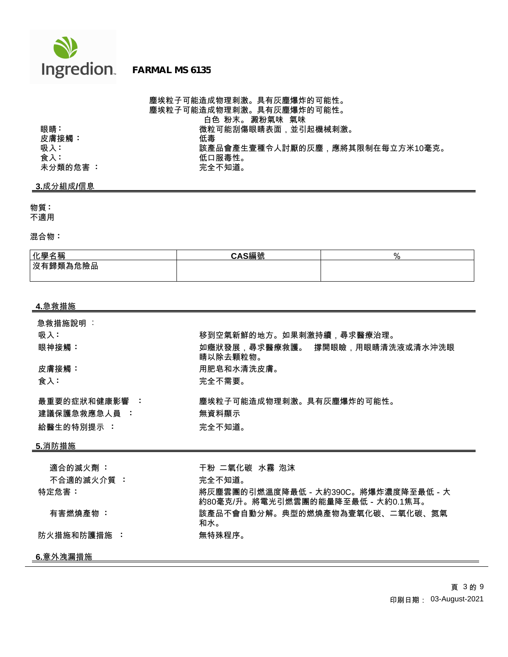

塵埃粒子可能造成物理刺激。具有灰塵爆炸的可能性。 塵埃粒子可能造成物理刺激。具有灰塵爆炸的可能性。 白色 粉末。 澱粉氣味 氣味 眼睛 : 微粒可能刮傷眼睛表面,並引起機械刺激。<br>皮膚接觸 : 低毒 吸入 **:** 該產品會產生壹種令人討厭的灰塵,應將其限制在每立方米10毫克。 低口服毒性。<br>完全不知道。

## **3.**成分組成**/**信息

未分類的危害 :

皮膚接觸:<br>吸入:

物質 **:**

不適用

混合物 **:**

| 化學名稱      | CAC絙峠<br>「5)ん |  |
|-----------|---------------|--|
| │沒有歸類為危險品 |               |  |
|           |               |  |

| 4.急救措施        |                                                                           |
|---------------|---------------------------------------------------------------------------|
| 急救措施說明 :      |                                                                           |
| 吸入:           | 移到空氣新鮮的地方。如果刺激持續,尋求醫療治理。                                                  |
| 眼神接觸:         | 如癥狀發展,尋求醫療救護。 撐開眼瞼,用眼睛清洗液或清水沖洗眼<br>睛以除去顆粒物。                               |
| 皮膚接觸:         | 用肥皂和水清洗皮膚。                                                                |
| 食入:           | 完全不需要。                                                                    |
| 最重要的症狀和健康影響 : | 塵埃粒子可能造成物理刺激。具有灰塵爆炸的可能性。                                                  |
| 建議保護急救應急人員 :  | 無資料顯示                                                                     |
| 給醫生的特別提示 :    | 完全不知道。                                                                    |
| 5.消防措施        |                                                                           |
| 適合的滅火劑 :      | 干粉 二氧化碳 水霧 泡沫                                                             |
| 不合適的滅火介質 :    | 完全不知道。                                                                    |
| 特定危害:         | 將灰塵雲團的引燃溫度降最低 - 大約390C。將爆炸濃度降至最低 - 大<br>約80毫克/升。將電光引燃雲團的能量降至最低 - 大約0.1焦耳。 |
| 有害燃燒產物 :      | 該產品不會自動分解。典型的燃燒產物為壹氧化碳、二氧化碳、氮氣<br>和水。                                     |
| 防火措施和防護措施 :   | 無特殊程序。                                                                    |
| 6.意外洩漏措施      |                                                                           |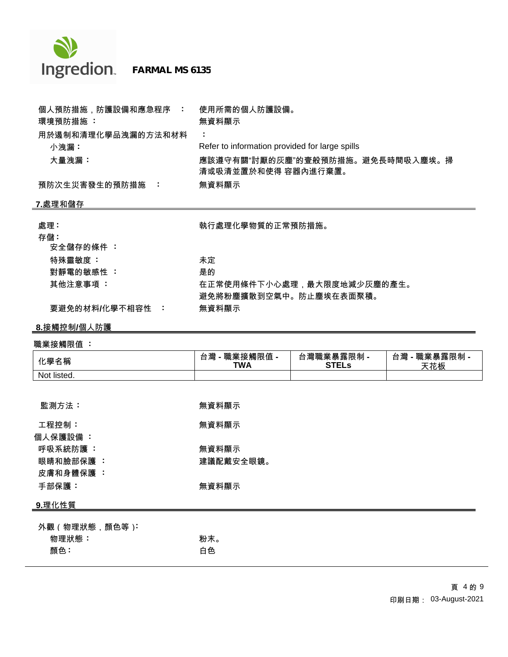

 **FARMAL MS 6135**

| 個人預防措施,防護設備和應急程序 :    | 使用所需的個人防護設備。                                            |
|-----------------------|---------------------------------------------------------|
| 環境預防措施 :              | 無資料顯示                                                   |
| 用於遏制和清理化學品洩漏的方法和材料    |                                                         |
| 小洩漏:                  | Refer to information provided for large spills          |
| 大量洩漏:                 | 應該遵守有關"討厭的灰塵"的壹般預防措施。避免長時間吸入塵埃。掃<br>清或吸清並置於和使得 容器內進行棄置。 |
| 預防次生災害發生的預防措施<br>- 11 | 無資料顯示                                                   |

## **7.**處理和儲存

| 處理:             | 執行處理化學物質的正常預防措施。           |
|-----------------|----------------------------|
| 存儲:             |                            |
| 安全儲存的條件 :       |                            |
| 特殊靈敏度 :         | 未定                         |
| 對靜電的敏感性 :       | 是的                         |
| 其他注意事項 :        | 在正常使用條件下小心處理,最大限度地減少灰塵的產生。 |
|                 | 避免將粉塵擴散到空氣中。防止塵埃在表面聚積。     |
| 要避免的材料/化學不相容性 : | 無資料顯示                      |

**8.**接觸控制**/**個人防護

# 職業接觸限值 **:**

| 化學名稱           | 台灣 - 職業接觸限值 -<br><b>TWA</b> | 台灣職業暴露限制 -<br><b>STELs</b> | 台灣 - 職業暴露限制 -<br>天花板 |
|----------------|-----------------------------|----------------------------|----------------------|
| Not listed.    |                             |                            |                      |
|                |                             |                            |                      |
| 監測方法:          | 無資料顯示                       |                            |                      |
| 工程控制:          | 無資料顯示                       |                            |                      |
| 個人保護設備:        |                             |                            |                      |
| 呼吸系統防護 :       | 無資料顯示                       |                            |                      |
| 眼睛和臉部保護 :      | 建議配戴安全眼鏡。                   |                            |                      |
| 皮膚和身體保護 :      |                             |                            |                      |
| 手部保護:          | 無資料顯示                       |                            |                      |
| 9.理化性質         |                             |                            |                      |
| 外觀 (物理狀態,顏色等): |                             |                            |                      |
| 物理狀態:          | 粉末。                         |                            |                      |
| 顏色:            | 白色                          |                            |                      |
|                |                             |                            |                      |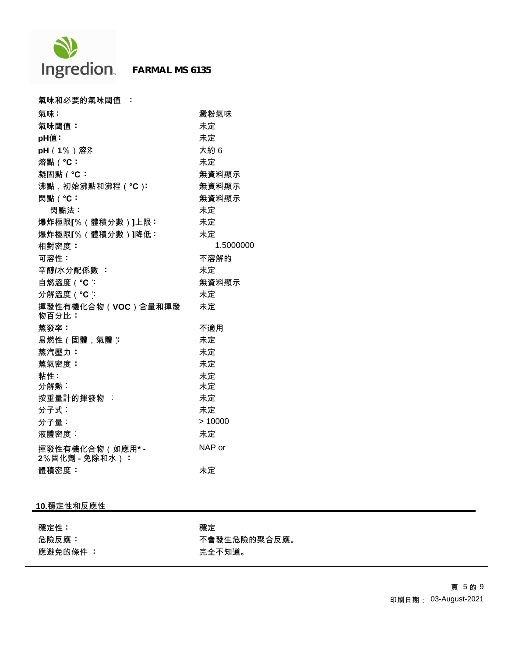

| 氣味和必要的氣味閾值 :                       |           |
|------------------------------------|-----------|
| 氣味:                                | 澱粉氣味      |
| 氣味閾值:                              | 未定        |
| pH值:                               | 未定        |
| pH (1%)溶沫                          | 大約6       |
| 熔點 ( °C:                           | 未定        |
| 凝固點(°C:                            | 無資料顯示     |
| 沸點,初始沸點和沸程(°C):                    | 無資料顯示     |
| 閃點 ( °C:                           | 無資料顯示     |
| 閃點法:                               | 未定        |
| 爆炸極限[%(體積分數)]上限:                   | 未定        |
| 爆炸極限[%(體積分數)]降低:                   | 未定        |
| 相對密度:                              | 1.5000000 |
| 可溶性:                               | 不溶解的      |
| 辛醇/水分配係數:                          | 未定        |
| 自燃溫度 ( °C ):                       | 無資料顯示     |
| 分解溫度 ( °C ):                       | 未定        |
| 揮發性有機化合物(VOC)含量和揮發<br>物百分比:        | 未定        |
| 蒸發率:                               | 不適用       |
| 易燃性(固體,氣體)                         | 未定        |
| 蒸汽壓力:                              | 未定        |
| 蒸氣密度:                              | 未定        |
| 粘性:                                | 未定        |
| 分解熱:                               | 未定        |
| 按重量計的揮發物 :                         | 未定        |
| 分子式:                               | 未定        |
| 分子量:                               | >10000    |
| 液體密度:                              | 未定        |
| 揮發性有機化合物 (如應用* -<br>2%固化劑 - 免除和水): | NAP or    |
| 體積密度:                              | 未定        |

## **10.**穩定性和反應性

穩定性 **:** 穩定 應避免的條件 **:** 完全不知道。

危險反應 **:** 不會發生危險的聚合反應。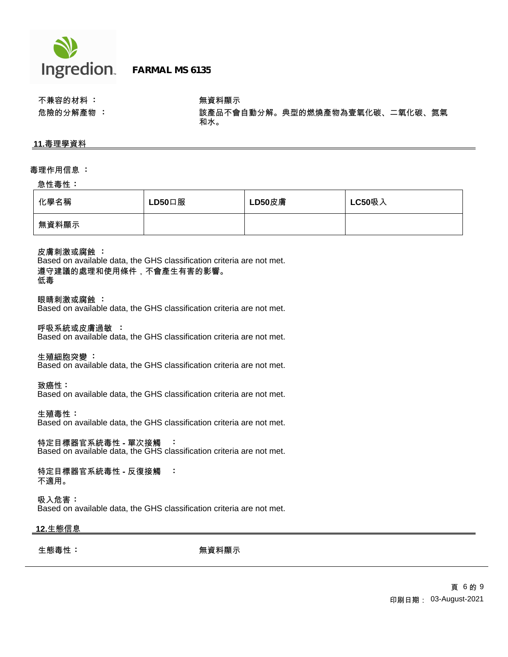

不兼容的材料 **:** 無資料顯示

危險的分解產物 **:** 該產品不會自動分解。典型的燃燒產物為壹氧化碳、二氧化碳、氮氣 和水。

### **11.**毒理學資料

#### 毒理作用信息 **:**

#### 急性毒性 **:**

| 化學名稱  | $LD50$ 口服 | LD50皮膚 | <b>LC50吸入</b> |
|-------|-----------|--------|---------------|
| 無資料顯示 |           |        |               |

皮膚刺激或腐蝕 **:**

Based on available data, the GHS classification criteria are not met. 遵守建議的處理和使用條件,不會產生有害的影響。 低毒

眼睛刺激或腐蝕 **:**

Based on available data, the GHS classification criteria are not met.

呼吸系統或皮膚過敏 **:**

Based on available data, the GHS classification criteria are not met.

生殖細胞突變 **:**

Based on available data, the GHS classification criteria are not met.

致癌性 **:**

Based on available data, the GHS classification criteria are not met.

生殖毒性 **:**

Based on available data, the GHS classification criteria are not met.

特定目標器官系統毒性 **-** 單次接觸 **:** Based on available data, the GHS classification criteria are not met.

特定目標器官系統毒性 **-** 反復接觸 **:** 不適用。

吸入危害 **:** Based on available data, the GHS classification criteria are not met.

## **12.**生態信息

生態毒性 **: キュラン おうしょう まき** 無資料顯示 きょうしょう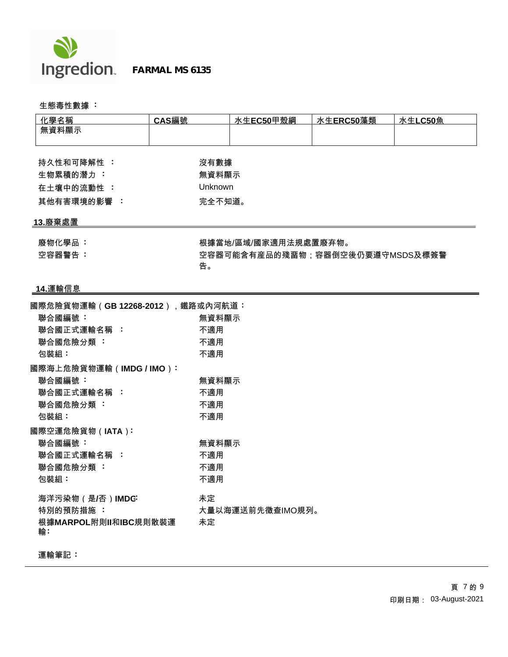

 **FARMAL MS 6135**

生態毒性數據 **:** 

| 化學名稱                             | CAS編號   | 水生EC50甲殼綱                       | 水生ERC50藻類 | 水生LC50魚 |  |
|----------------------------------|---------|---------------------------------|-----------|---------|--|
| 無資料顯示                            |         |                                 |           |         |  |
|                                  |         |                                 |           |         |  |
| 持久性和可降解性 :                       | 沒有數據    |                                 |           |         |  |
| 生物累積的潛力:                         | 無資料顯示   |                                 |           |         |  |
|                                  | Unknown |                                 |           |         |  |
| 在土壤中的流動性:                        |         |                                 |           |         |  |
| 其他有害環境的影響:                       | 完全不知道。  |                                 |           |         |  |
| 13.廢棄處置                          |         |                                 |           |         |  |
| 廢物化學品:                           |         | 根據當地/區域/國家適用法規處置廢弃物。            |           |         |  |
| 空容器警告:                           |         | 空容器可能含有産品的殘畱物;容器倒空後仍要遵守MSDS及標簽警 |           |         |  |
|                                  | 告。      |                                 |           |         |  |
|                                  |         |                                 |           |         |  |
| 14.運輸信息                          |         |                                 |           |         |  |
| 國際危險貨物運輸(GB 12268-2012),鐵路或內河航道: |         |                                 |           |         |  |
| 聯合國編號:                           | 無資料顯示   |                                 |           |         |  |
| 聯合國正式運輸名稱:                       | 不適用     |                                 |           |         |  |
| 聯合國危險分類:                         | 不適用     |                                 |           |         |  |
| 包裝組:                             | 不適用     |                                 |           |         |  |
| 國際海上危險貨物運輸 (IMDG / IMO ):        |         |                                 |           |         |  |
| 聯合國編號:                           | 無資料顯示   |                                 |           |         |  |
| 聯合國正式運輸名稱:                       | 不適用     |                                 |           |         |  |
| 聯合國危險分類:                         | 不適用     |                                 |           |         |  |
| 包裝組:                             | 不適用     |                                 |           |         |  |
| 國際空運危險貨物(IATA):                  |         |                                 |           |         |  |
| 聯合國編號:                           | 無資料顯示   |                                 |           |         |  |
| 聯合國正式運輸名稱:                       | 不適用     |                                 |           |         |  |
| 聯合國危險分類:                         | 不適用     |                                 |           |         |  |
| 包裝組:                             | 不適用     |                                 |           |         |  |
|                                  |         |                                 |           |         |  |
| 海洋污染物 (是/否)IMDG:                 | 未定      |                                 |           |         |  |
| 特別的預防措施:                         |         | 大量以海運送前先徵查IMO規列。                |           |         |  |
| 根據MARPOL附則II和IBC規則散裝運<br>輸:      | 未定      |                                 |           |         |  |

運輸筆記 **:**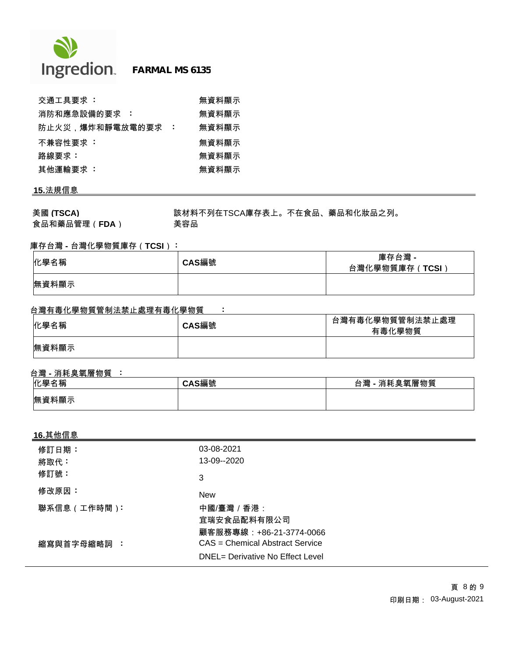

| 交通工具要求 :          |     | 無資料顯示 |
|-------------------|-----|-------|
| 消防和應急設備的要求<br>- 1 |     | 無資料顯示 |
| 防止火災,爆炸和靜電放電的要求   | - 1 | 無資料顯示 |
| 不兼容性要求 :          |     | 無資料顯示 |
| 路線要求:             |     | 無資料顯示 |
| 其他運輸要求 :          |     | 無資料顯示 |

# **15.**法規信息

美國 **(TSCA)** 該材料不列在TSCA庫存表上。不在食品、藥品和化妝品之列。 食品和藥品管理(**FDA**) 美容品

## 庫存台灣 **-** 台灣化學物質庫存(**TCSI**) **:**

| 化學名稱  | CAS編號 | 庫存台灣 -<br>台灣化學物質庫存(TCSI) |
|-------|-------|--------------------------|
| 無資料顯示 |       |                          |

## 台灣有毒化學物質管制法禁止處理有毒化學物質 **:**

| 化學名稱  | CAS編號 | 台灣有毒化學物質管制法禁止處理<br>有毒化學物質 |
|-------|-------|---------------------------|
| 無資料顯示 |       |                           |

## 台灣 **-** 消耗臭氧層物質 **:**

| 化學名稱  | CAS編號 | !- 消耗臭氧層物質<br>台灣 |
|-------|-------|------------------|
| 無資料顯示 |       |                  |

## **16.**其他信息

| 修訂日期:<br>將取代: | 03-08-2021<br>13-09--2020                                           |
|---------------|---------------------------------------------------------------------|
| 修訂號:          | 3                                                                   |
| 修改原因:         | <b>New</b>                                                          |
| 聯系信息 (工作時間):  | 中國/臺灣 / 香港:<br>宜瑞安食品配料有限公司<br>顧客服務專線:+86-21-3774-0066               |
| 縮寫與首字母縮略詞 :   | CAS = Chemical Abstract Service<br>DNEL= Derivative No Effect Level |